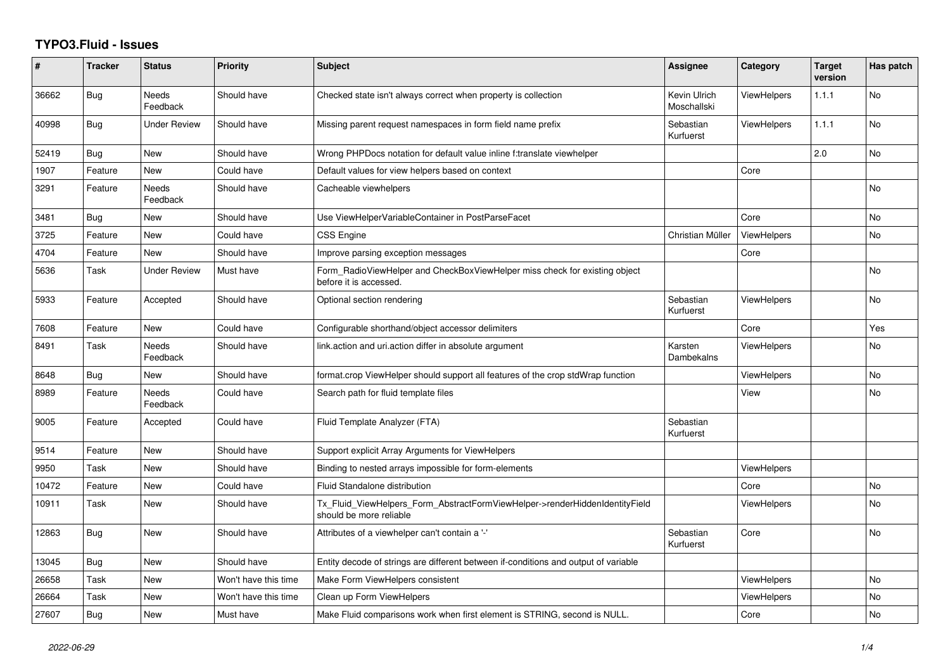## **TYPO3.Fluid - Issues**

| ∦     | <b>Tracker</b> | <b>Status</b>            | <b>Priority</b>      | <b>Subject</b>                                                                                         | Assignee                    | Category           | <b>Target</b><br>version | Has patch      |
|-------|----------------|--------------------------|----------------------|--------------------------------------------------------------------------------------------------------|-----------------------------|--------------------|--------------------------|----------------|
| 36662 | <b>Bug</b>     | <b>Needs</b><br>Feedback | Should have          | Checked state isn't always correct when property is collection                                         | Kevin Ulrich<br>Moschallski | <b>ViewHelpers</b> | 1.1.1                    | <b>No</b>      |
| 40998 | <b>Bug</b>     | <b>Under Review</b>      | Should have          | Missing parent request namespaces in form field name prefix                                            | Sebastian<br>Kurfuerst      | <b>ViewHelpers</b> | 1.1.1                    | <b>No</b>      |
| 52419 | Bug            | New                      | Should have          | Wrong PHPDocs notation for default value inline f:translate viewhelper                                 |                             |                    | 2.0                      | No             |
| 1907  | Feature        | New                      | Could have           | Default values for view helpers based on context                                                       |                             | Core               |                          |                |
| 3291  | Feature        | Needs<br>Feedback        | Should have          | Cacheable viewhelpers                                                                                  |                             |                    |                          | N <sub>o</sub> |
| 3481  | Bug            | New                      | Should have          | Use ViewHelperVariableContainer in PostParseFacet                                                      |                             | Core               |                          | <b>No</b>      |
| 3725  | Feature        | New                      | Could have           | CSS Engine                                                                                             | Christian Müller            | <b>ViewHelpers</b> |                          | No             |
| 4704  | Feature        | New                      | Should have          | Improve parsing exception messages                                                                     |                             | Core               |                          |                |
| 5636  | Task           | Under Review             | Must have            | Form RadioViewHelper and CheckBoxViewHelper miss check for existing object<br>before it is accessed.   |                             |                    |                          | <b>No</b>      |
| 5933  | Feature        | Accepted                 | Should have          | Optional section rendering                                                                             | Sebastian<br>Kurfuerst      | <b>ViewHelpers</b> |                          | <b>No</b>      |
| 7608  | Feature        | <b>New</b>               | Could have           | Configurable shorthand/object accessor delimiters                                                      |                             | Core               |                          | Yes            |
| 8491  | Task           | Needs<br>Feedback        | Should have          | link.action and uri.action differ in absolute argument                                                 | Karsten<br>Dambekalns       | <b>ViewHelpers</b> |                          | No             |
| 8648  | Bug            | New                      | Should have          | format.crop ViewHelper should support all features of the crop stdWrap function                        |                             | <b>ViewHelpers</b> |                          | <b>No</b>      |
| 8989  | Feature        | Needs<br>Feedback        | Could have           | Search path for fluid template files                                                                   |                             | View               |                          | No             |
| 9005  | Feature        | Accepted                 | Could have           | Fluid Template Analyzer (FTA)                                                                          | Sebastian<br>Kurfuerst      |                    |                          |                |
| 9514  | Feature        | <b>New</b>               | Should have          | Support explicit Array Arguments for ViewHelpers                                                       |                             |                    |                          |                |
| 9950  | Task           | New                      | Should have          | Binding to nested arrays impossible for form-elements                                                  |                             | ViewHelpers        |                          |                |
| 10472 | Feature        | New                      | Could have           | Fluid Standalone distribution                                                                          |                             | Core               |                          | No             |
| 10911 | Task           | New                      | Should have          | Tx_Fluid_ViewHelpers_Form_AbstractFormViewHelper->renderHiddenIdentityField<br>should be more reliable |                             | <b>ViewHelpers</b> |                          | <b>No</b>      |
| 12863 | Bug            | New                      | Should have          | Attributes of a viewhelper can't contain a '-'                                                         | Sebastian<br>Kurfuerst      | Core               |                          | No             |
| 13045 | <b>Bug</b>     | <b>New</b>               | Should have          | Entity decode of strings are different between if-conditions and output of variable                    |                             |                    |                          |                |
| 26658 | Task           | New                      | Won't have this time | Make Form ViewHelpers consistent                                                                       |                             | <b>ViewHelpers</b> |                          | <b>No</b>      |
| 26664 | Task           | New                      | Won't have this time | Clean up Form ViewHelpers                                                                              |                             | <b>ViewHelpers</b> |                          | No             |
| 27607 | Bug            | <b>New</b>               | Must have            | Make Fluid comparisons work when first element is STRING, second is NULL.                              |                             | Core               |                          | <b>No</b>      |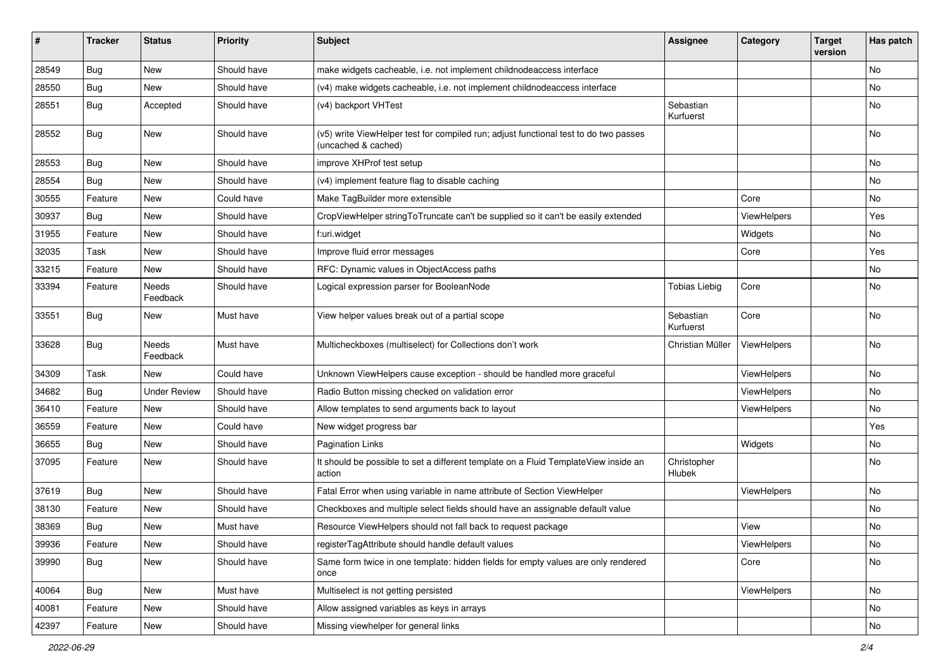| #     | <b>Tracker</b> | <b>Status</b>            | <b>Priority</b> | Subject                                                                                                     | <b>Assignee</b>        | Category    | <b>Target</b><br>version | Has patch |
|-------|----------------|--------------------------|-----------------|-------------------------------------------------------------------------------------------------------------|------------------------|-------------|--------------------------|-----------|
| 28549 | Bug            | New                      | Should have     | make widgets cacheable, i.e. not implement childnodeaccess interface                                        |                        |             |                          | <b>No</b> |
| 28550 | Bug            | New                      | Should have     | (v4) make widgets cacheable, i.e. not implement childnodeaccess interface                                   |                        |             |                          | No        |
| 28551 | Bug            | Accepted                 | Should have     | (v4) backport VHTest                                                                                        | Sebastian<br>Kurfuerst |             |                          | No        |
| 28552 | Bug            | <b>New</b>               | Should have     | (v5) write ViewHelper test for compiled run; adjust functional test to do two passes<br>(uncached & cached) |                        |             |                          | <b>No</b> |
| 28553 | Bug            | <b>New</b>               | Should have     | improve XHProf test setup                                                                                   |                        |             |                          | No        |
| 28554 | Bug            | <b>New</b>               | Should have     | (v4) implement feature flag to disable caching                                                              |                        |             |                          | No        |
| 30555 | Feature        | <b>New</b>               | Could have      | Make TagBuilder more extensible                                                                             |                        | Core        |                          | No        |
| 30937 | Bug            | New                      | Should have     | CropViewHelper stringToTruncate can't be supplied so it can't be easily extended                            |                        | ViewHelpers |                          | Yes       |
| 31955 | Feature        | New                      | Should have     | f:uri.widget                                                                                                |                        | Widgets     |                          | No        |
| 32035 | Task           | <b>New</b>               | Should have     | Improve fluid error messages                                                                                |                        | Core        |                          | Yes       |
| 33215 | Feature        | <b>New</b>               | Should have     | RFC: Dynamic values in ObjectAccess paths                                                                   |                        |             |                          | No        |
| 33394 | Feature        | <b>Needs</b><br>Feedback | Should have     | Logical expression parser for BooleanNode                                                                   | <b>Tobias Liebig</b>   | Core        |                          | <b>No</b> |
| 33551 | Bug            | New                      | Must have       | View helper values break out of a partial scope                                                             | Sebastian<br>Kurfuerst | Core        |                          | <b>No</b> |
| 33628 | Bug            | Needs<br>Feedback        | Must have       | Multicheckboxes (multiselect) for Collections don't work                                                    | Christian Müller       | ViewHelpers |                          | <b>No</b> |
| 34309 | Task           | New                      | Could have      | Unknown ViewHelpers cause exception - should be handled more graceful                                       |                        | ViewHelpers |                          | <b>No</b> |
| 34682 | Bug            | <b>Under Review</b>      | Should have     | Radio Button missing checked on validation error                                                            |                        | ViewHelpers |                          | No        |
| 36410 | Feature        | <b>New</b>               | Should have     | Allow templates to send arguments back to layout                                                            |                        | ViewHelpers |                          | No        |
| 36559 | Feature        | New                      | Could have      | New widget progress bar                                                                                     |                        |             |                          | Yes       |
| 36655 | Bug            | New                      | Should have     | <b>Pagination Links</b>                                                                                     |                        | Widgets     |                          | No        |
| 37095 | Feature        | New                      | Should have     | It should be possible to set a different template on a Fluid TemplateView inside an<br>action               | Christopher<br>Hlubek  |             |                          | No        |
| 37619 | Bug            | New                      | Should have     | Fatal Error when using variable in name attribute of Section ViewHelper                                     |                        | ViewHelpers |                          | No        |
| 38130 | Feature        | New                      | Should have     | Checkboxes and multiple select fields should have an assignable default value                               |                        |             |                          | No        |
| 38369 | Bug            | New                      | Must have       | Resource ViewHelpers should not fall back to request package                                                |                        | View        |                          | No        |
| 39936 | Feature        | New                      | Should have     | registerTagAttribute should handle default values                                                           |                        | ViewHelpers |                          | No        |
| 39990 | <b>Bug</b>     | New                      | Should have     | Same form twice in one template: hidden fields for empty values are only rendered<br>once                   |                        | Core        |                          | No        |
| 40064 | <b>Bug</b>     | New                      | Must have       | Multiselect is not getting persisted                                                                        |                        | ViewHelpers |                          | No        |
| 40081 | Feature        | New                      | Should have     | Allow assigned variables as keys in arrays                                                                  |                        |             |                          | No        |
| 42397 | Feature        | New                      | Should have     | Missing viewhelper for general links                                                                        |                        |             |                          | No        |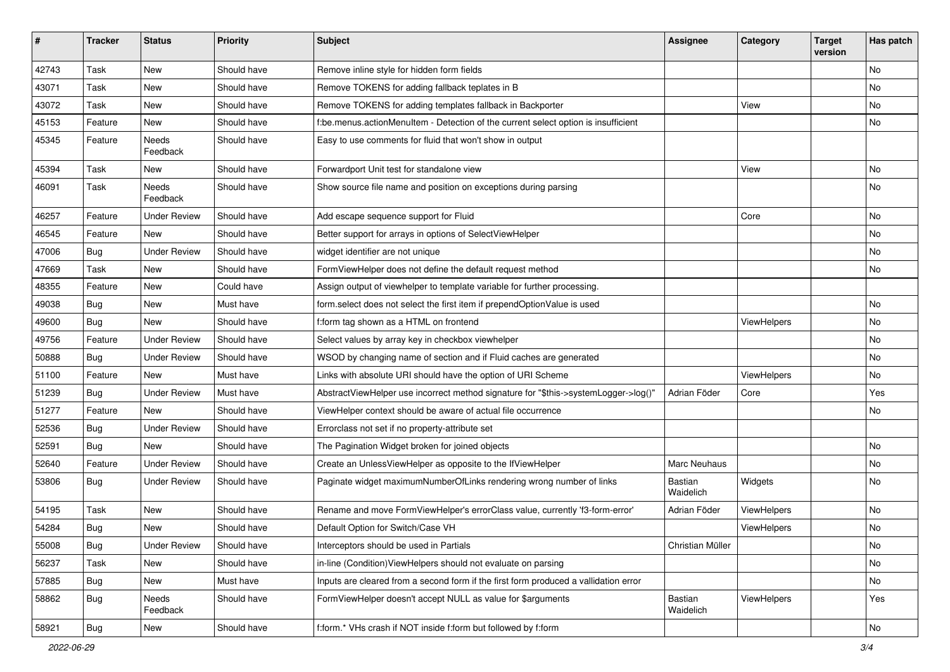| #     | <b>Tracker</b> | <b>Status</b>       | <b>Priority</b> | <b>Subject</b>                                                                       | Assignee             | Category    | <b>Target</b><br>version | Has patch     |
|-------|----------------|---------------------|-----------------|--------------------------------------------------------------------------------------|----------------------|-------------|--------------------------|---------------|
| 42743 | Task           | New                 | Should have     | Remove inline style for hidden form fields                                           |                      |             |                          | <b>No</b>     |
| 43071 | Task           | New                 | Should have     | Remove TOKENS for adding fallback teplates in B                                      |                      |             |                          | No            |
| 43072 | Task           | New                 | Should have     | Remove TOKENS for adding templates fallback in Backporter                            |                      | View        |                          | No            |
| 45153 | Feature        | <b>New</b>          | Should have     | f:be.menus.actionMenuItem - Detection of the current select option is insufficient   |                      |             |                          | No            |
| 45345 | Feature        | Needs<br>Feedback   | Should have     | Easy to use comments for fluid that won't show in output                             |                      |             |                          |               |
| 45394 | Task           | New                 | Should have     | Forwardport Unit test for standalone view                                            |                      | View        |                          | No            |
| 46091 | Task           | Needs<br>Feedback   | Should have     | Show source file name and position on exceptions during parsing                      |                      |             |                          | No            |
| 46257 | Feature        | <b>Under Review</b> | Should have     | Add escape sequence support for Fluid                                                |                      | Core        |                          | No            |
| 46545 | Feature        | New                 | Should have     | Better support for arrays in options of SelectViewHelper                             |                      |             |                          | No            |
| 47006 | Bug            | <b>Under Review</b> | Should have     | widget identifier are not unique                                                     |                      |             |                          | No            |
| 47669 | Task           | New                 | Should have     | FormViewHelper does not define the default request method                            |                      |             |                          | No            |
| 48355 | Feature        | New                 | Could have      | Assign output of viewhelper to template variable for further processing.             |                      |             |                          |               |
| 49038 | <b>Bug</b>     | New                 | Must have       | form.select does not select the first item if prependOptionValue is used             |                      |             |                          | No            |
| 49600 | Bug            | <b>New</b>          | Should have     | f:form tag shown as a HTML on frontend                                               |                      | ViewHelpers |                          | No            |
| 49756 | Feature        | <b>Under Review</b> | Should have     | Select values by array key in checkbox viewhelper                                    |                      |             |                          | No            |
| 50888 | Bug            | <b>Under Review</b> | Should have     | WSOD by changing name of section and if Fluid caches are generated                   |                      |             |                          | No            |
| 51100 | Feature        | <b>New</b>          | Must have       | Links with absolute URI should have the option of URI Scheme                         |                      | ViewHelpers |                          | No            |
| 51239 | Bug            | <b>Under Review</b> | Must have       | AbstractViewHelper use incorrect method signature for "\$this->systemLogger->log()"  | Adrian Föder         | Core        |                          | Yes           |
| 51277 | Feature        | <b>New</b>          | Should have     | ViewHelper context should be aware of actual file occurrence                         |                      |             |                          | No            |
| 52536 | Bug            | <b>Under Review</b> | Should have     | Errorclass not set if no property-attribute set                                      |                      |             |                          |               |
| 52591 | Bug            | New                 | Should have     | The Pagination Widget broken for joined objects                                      |                      |             |                          | No            |
| 52640 | Feature        | <b>Under Review</b> | Should have     | Create an UnlessViewHelper as opposite to the IfViewHelper                           | Marc Neuhaus         |             |                          | No            |
| 53806 | Bug            | <b>Under Review</b> | Should have     | Paginate widget maximumNumberOfLinks rendering wrong number of links                 | Bastian<br>Waidelich | Widgets     |                          | No            |
| 54195 | Task           | <b>New</b>          | Should have     | Rename and move FormViewHelper's errorClass value, currently 'f3-form-error'         | Adrian Föder         | ViewHelpers |                          | No            |
| 54284 | <b>Bug</b>     | New                 | Should have     | Default Option for Switch/Case VH                                                    |                      | ViewHelpers |                          | No            |
| 55008 | <b>Bug</b>     | <b>Under Review</b> | Should have     | Interceptors should be used in Partials                                              | Christian Müller     |             |                          | No            |
| 56237 | Task           | New                 | Should have     | in-line (Condition) View Helpers should not evaluate on parsing                      |                      |             |                          | No            |
| 57885 | <b>Bug</b>     | New                 | Must have       | Inputs are cleared from a second form if the first form produced a vallidation error |                      |             |                          | No            |
| 58862 | <b>Bug</b>     | Needs<br>Feedback   | Should have     | FormViewHelper doesn't accept NULL as value for \$arguments                          | Bastian<br>Waidelich | ViewHelpers |                          | Yes           |
| 58921 | <b>Bug</b>     | New                 | Should have     | f:form.* VHs crash if NOT inside f:form but followed by f:form                       |                      |             |                          | $\mathsf{No}$ |